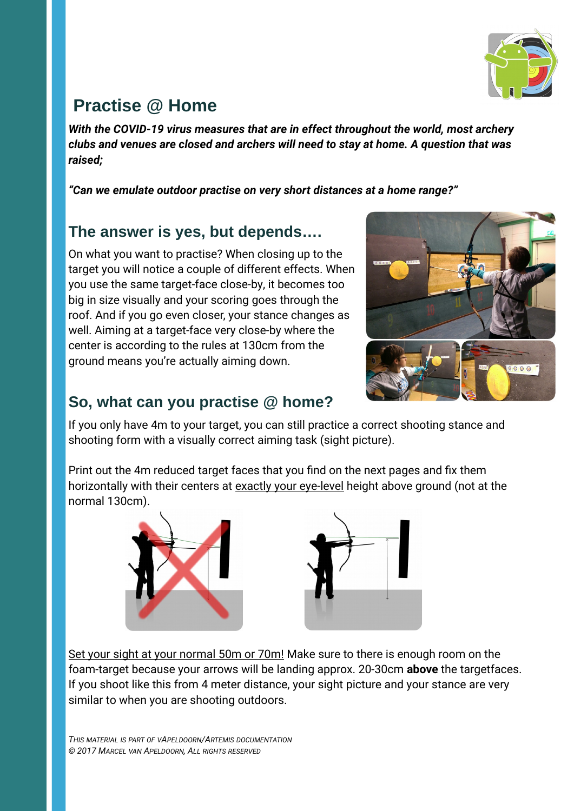

# **Practise @ Home**

*With the COVID-19 virus measures that are in effect throughout the world, most archery clubs and venues are closed and archers will need to stay at home. A question that was raised;*

*"Can we emulate outdoor practise on very short distances at a home range?"*

#### **The answer is yes, but depends….**

On what you want to practise? When closing up to the target you will notice a couple of different effects. When you use the same target-face close-by, it becomes too big in size visually and your scoring goes through the roof. And if you go even closer, your stance changes as well. Aiming at a target-face very close-by where the center is according to the rules at 130cm from the ground means you're actually aiming down.



## **So, what can you practise @ home?**

If you only have 4m to your target, you can still practice a correct shooting stance and shooting form with a visually correct aiming task (sight picture).

Print out the 4m reduced target faces that you find on the next pages and fix them horizontally with their centers at exactly your eye-level height above ground (not at the normal 130cm).





Set your sight at your normal 50m or 70m! Make sure to there is enough room on the foam-target because your arrows will be landing approx. 20-30cm **above** the targetfaces. If you shoot like this from 4 meter distance, your sight picture and your stance are very similar to when you are shooting outdoors.

*THIS MATERIAL IS PART OF VAPELDOORN/ARTEMIS DOCUMENTATION © 2017 MARCEL VAN APELDOORN, ALL RIGHTS RESERVED*